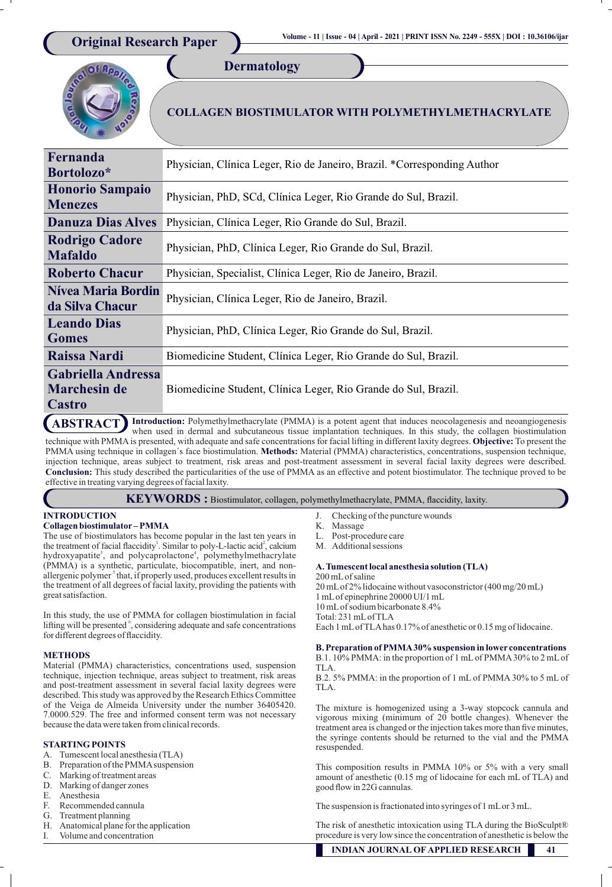**COLLAGEN BIOSTIMULATOR WITH POLYMETHYLMETHACRYLATE** 

| Fernanda<br>Bortolozo*                                                                                                                                              | Physician, Clínica Leger, Rio de Janeiro, Brazil. *Corresponding Author |
|---------------------------------------------------------------------------------------------------------------------------------------------------------------------|-------------------------------------------------------------------------|
| <b>Honorio Sampaio</b><br><b>Menezes</b>                                                                                                                            | Physician, PhD, SCd, Clínica Leger, Rio Grande do Sul, Brazil.          |
| <b>Danuza Dias Alves</b>                                                                                                                                            | Physician, Clínica Leger, Rio Grande do Sul, Brazil.                    |
| <b>Rodrigo Cadore</b><br><b>Mafaldo</b>                                                                                                                             | Physician, PhD, Clínica Leger, Rio Grande do Sul, Brazil.               |
| <b>Roberto Chacur</b>                                                                                                                                               | Physician, Specialist, Clínica Leger, Rio de Janeiro, Brazil.           |
| <b>Nívea Maria Bordin</b><br>da Silva Chacur                                                                                                                        | Physician, Clínica Leger, Rio de Janeiro, Brazil.                       |
| <b>Leando Dias</b><br><b>Gomes</b>                                                                                                                                  | Physician, PhD, Clínica Leger, Rio Grande do Sul, Brazil.               |
| Raissa Nardi                                                                                                                                                        | Biomedicine Student, Clínica Leger, Rio Grande do Sul, Brazil.          |
| <b>Gabriella Andressa</b><br><b>Marchesin de</b><br>Castro                                                                                                          | Biomedicine Student, Clínica Leger, Rio Grande do Sul, Brazil.          |
| $\sum_{\text{A}}$ $\sum_{\text{C}}$ $\sum_{\text{D}}$ Introduction: Polymethylmethacrylate (PMMA) is a notent agent that induces neocolagenesis and neoangiogenesis |                                                                         |

**Dermatology**

**Introduction:** Polymethylmethacrylate (PMMA) is a potent agent that induces neocolagenesis and neoangiogenesis **ABSTRACT** Introduction: Polymethylmethacrylate (PMMA) is a potent agent that induces neocolagenesis and neoangiogenesis when used in dermal and subcutaneous tissue implantation techniques. In this study, the collagen bios technique with PMMA is presented, with adequate and safe concentrations for facial lifting in different laxity degrees. Objective: To present the PMMA using technique in collagen's face biostimulation. Methods: Material (PMMA) characteristics, concentrations, suspension technique, injection technique, areas subject to treatment, risk areas and post-treatment assessment in several facial laxity degrees were described. **Conclusion:** This study described the particularities of the use of PMMA as an effective and potent biostimulator. The technique proved to be effective in treating varying degrees of facial laxity.

KEYWORDS : Biostimulator, collagen, polymethylmethacrylate, PMMA, flaccidity, laxity.

**INTRODUCTION**

# **Collagen biostimulator – PMMA**

The use of biostimulators has become popular in the last ten years in the treatment of facial flaccidity<sup>1</sup>. Similar to poly-L-lactic acid<sup>2</sup>, calcium hydroxyapatite<sup>3</sup>, and polycaprolactone<sup>4</sup>, polymethylmethacrylate (PMMA) is a synthetic, particulate, biocompatible, inert, and nonallergenic polymer<sup>5</sup> that, if properly used, produces excellent results in the treatment of all degrees of facial laxity, providing the patients with great satisfaction.

In this study, the use of PMMA for collagen biostimulation in facial lifting will be presented  $\frac{6}{3}$ , considering adequate and safe concentrations for different degrees of flaccidity.

# **METHODS**

Material (PMMA) characteristics, concentrations used, suspension technique, injection technique, areas subject to treatment, risk areas and post-treatment assessment in several facial laxity degrees were described. This study was approved by the Research Ethics Committee of the Veiga de Almeida University under the number 36405420. 7.0000.529. The free and informed consent term was not necessary because the data were taken from clinical records.

# **STARTING POINTS**

- A. Tumescent local anesthesia (TLA)
- B. Preparation of the PMMA suspension
- C. Marking of treatment areas
- D. Marking of danger zones
- E. Anesthesia
- F. Recommended cannula<br>G. Treatment planning
- Treatment planning
- H. Anatomical plane for the application
- I. Volume and concentration
- J. Checking of the puncture wounds
- K. Massage
- L. Post-procedure care
- M. Additional sessions

#### **A. Tumescent local anesthesia solution (TLA)**

200 mL of saline 20 mL of 2% lidocaine without vasoconstrictor (400 mg/20 mL) 1 mL of epinephrine 20000 UI/1 mL 10 mL of sodium bicarbonate 8.4% Total: 231 mL of TLA Each 1 mL of TLA has 0.17% of anesthetic or 0.15 mg of lidocaine.

#### **B. Preparation of PMMA 30% suspension in lower concentrations**  B.1. 10% PMMA: in the proportion of 1 mL of PMMA 30% to 2 mL of TLA.

B.2. 5% PMMA: in the proportion of 1 mL of PMMA 30% to 5 mL of TLA.

The mixture is homogenized using a 3-way stopcock cannula and vigorous mixing (minimum of 20 bottle changes). Whenever the treatment area is changed or the injection takes more than five minutes, the syringe contents should be returned to the vial and the PMMA resuspended.

This composition results in PMMA 10% or 5% with a very small amount of anesthetic (0.15 mg of lidocaine for each mL of TLA) and good flow in 22G cannulas.

The suspension is fractionated into syringes of 1 mL or 3 mL.

The risk of anesthetic intoxication using TLA during the BioSculpt<sup>®</sup> procedure is very low since the concentration of anesthetic is below the

 **INDIAN JOURNAL OF APPLIED RESEARCH 41**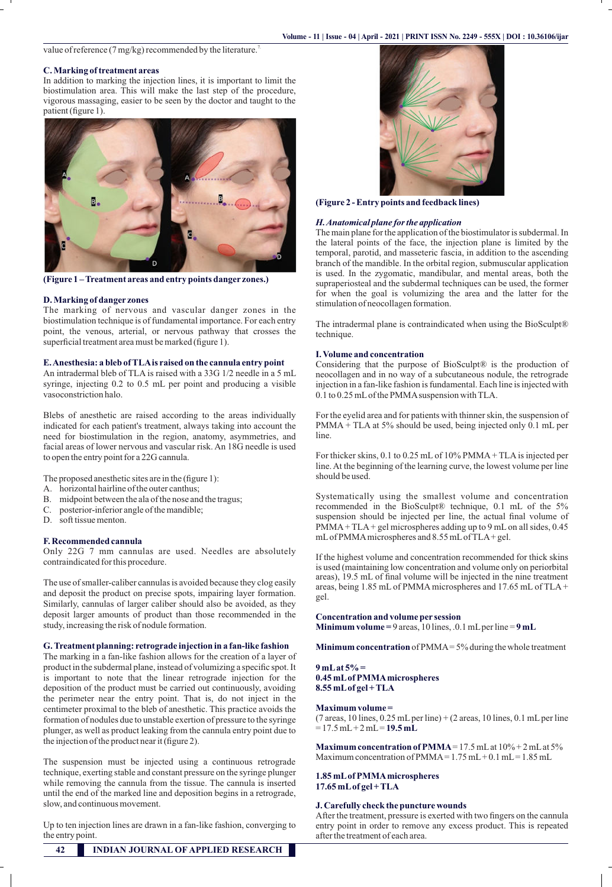value of reference (7 mg/kg) recommended by the literature.<sup>7</sup>

## **C. Marking of treatment areas**

In addition to marking the injection lines, it is important to limit the biostimulation area. This will make the last step of the procedure, vigorous massaging, easier to be seen by the doctor and taught to the patient (figure 1).



**(Figure 1 – Treatment areas and entry points danger zones.)**

#### **D. Marking of danger zones**

The marking of nervous and vascular danger zones in the biostimulation technique is of fundamental importance. For each entry point, the venous, arterial, or nervous pathway that crosses the superficial treatment area must be marked (figure 1).

## **E. Anesthesia: a bleb of TLA is raised on the cannula entry point**

An intradermal bleb of TLA is raised with a 33G 1/2 needle in a 5 mL syringe, injecting 0.2 to 0.5 mL per point and producing a visible vasoconstriction halo.

Blebs of anesthetic are raised according to the areas individually indicated for each patient's treatment, always taking into account the need for biostimulation in the region, anatomy, asymmetries, and facial areas of lower nervous and vascular risk. An 18G needle is used to open the entry point for a 22G cannula.

The proposed anesthetic sites are in the (figure 1):

- A. horizontal hairline of the outer canthus;
- B. midpoint between the ala of the nose and the tragus;
- C. posterior-inferior angle of the mandible;
- D. soft tissue menton.

## **F. Recommended cannula**

Only 22G 7 mm cannulas are used. Needles are absolutely contraindicated for this procedure.

The use of smaller-caliber cannulas is avoided because they clog easily and deposit the product on precise spots, impairing layer formation. Similarly, cannulas of larger caliber should also be avoided, as they deposit larger amounts of product than those recommended in the study, increasing the risk of nodule formation.

#### **G. Treatment planning: retrograde injection in a fan-like fashion**

The marking in a fan-like fashion allows for the creation of a layer of product in the subdermal plane, instead of volumizing a specific spot. It is important to note that the linear retrograde injection for the deposition of the product must be carried out continuously, avoiding the perimeter near the entry point. That is, do not inject in the centimeter proximal to the bleb of anesthetic. This practice avoids the formation of nodules due to unstable exertion of pressure to the syringe plunger, as well as product leaking from the cannula entry point due to the injection of the product near it (figure 2).

The suspension must be injected using a continuous retrograde technique, exerting stable and constant pressure on the syringe plunger while removing the cannula from the tissue. The cannula is inserted until the end of the marked line and deposition begins in a retrograde, slow, and continuous movement.

Up to ten injection lines are drawn in a fan-like fashion, converging to the entry point.



**(Figure 2 - Entry points and feedback lines)**

#### *H. Anatomical plane for the application*

The main plane for the application of the biostimulator is subdermal. In the lateral points of the face, the injection plane is limited by the temporal, parotid, and masseteric fascia, in addition to the ascending branch of the mandible. In the orbital region, submuscular application is used. In the zygomatic, mandibular, and mental areas, both the supraperiosteal and the subdermal techniques can be used, the former for when the goal is volumizing the area and the latter for the stimulation of neocollagen formation.

The intradermal plane is contraindicated when using the BioSculpt® technique.

## **I. Volume and concentration**

Considering that the purpose of BioSculpt® is the production of neocollagen and in no way of a subcutaneous nodule, the retrograde injection in a fan-like fashion is fundamental. Each line is injected with 0.1 to 0.25 mL of the PMMA suspension with TLA.

For the eyelid area and for patients with thinner skin, the suspension of PMMA + TLA at 5% should be used, being injected only 0.1 mL per line.

For thicker skins, 0.1 to 0.25 mL of 10% PMMA + TLA is injected per line. At the beginning of the learning curve, the lowest volume per line should be used.

Systematically using the smallest volume and concentration recommended in the BioSculpt® technique, 0.1 mL of the 5% suspension should be injected per line, the actual final volume of PMMA + TLA + gel microspheres adding up to 9 mL on all sides, 0.45 mL of PMMA microspheres and 8.55 mL of TLA + gel.

If the highest volume and concentration recommended for thick skins is used (maintaining low concentration and volume only on periorbital areas), 19.5 mL of final volume will be injected in the nine treatment areas, being 1.85 mL of PMMA microspheres and 17.65 mL of TLA + gel.

#### **Concentration and volume per session**

**Minimum volume** = 9 areas, 10 lines, .0.1 mL per line =  $9$  mL

**Minimum concentration** of PMMA = 5% during the whole treatment

#### **9 mL at 5% = 0.45 mL of PMMA microspheres 8.55 mL of gel + TLA**

#### **Maximum volume =**

(7 areas, 10 lines, 0.25 mL per line) + (2 areas, 10 lines, 0.1 mL per line  $= 17.5$  mL + 2 mL = **19.5 mL** 

**Maximum concentration of PMMA** = 17.5 mL at  $10\%$  + 2 mL at  $5\%$ Maximum concentration of  $PMMA = 1.75$  mL + 0.1 mL = 1.85 mL

#### **1.85 mL of PMMA microspheres 17.65 mL of gel + TLA**

# **J. Carefully check the puncture wounds**

After the treatment, pressure is exerted with two fingers on the cannula entry point in order to remove any excess product. This is repeated after the treatment of each area.

**42 INDIAN JOURNAL OF APPLIED RESEARCH**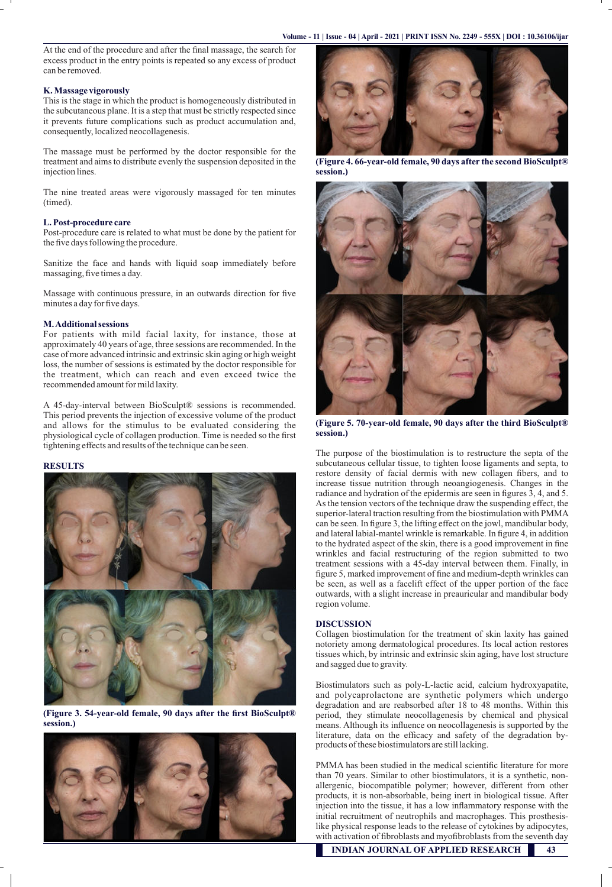At the end of the procedure and after the final massage, the search for excess product in the entry points is repeated so any excess of product can be removed.

#### **K. Massage vigorously**

This is the stage in which the product is homogeneously distributed in the subcutaneous plane. It is a step that must be strictly respected since it prevents future complications such as product accumulation and, consequently, localized neocollagenesis.

The massage must be performed by the doctor responsible for the treatment and aims to distribute evenly the suspension deposited in the injection lines.

The nine treated areas were vigorously massaged for ten minutes (timed).

## **L. Post-procedure care**

Post-procedure care is related to what must be done by the patient for the five days following the procedure.

Sanitize the face and hands with liquid soap immediately before massaging, five times a day.

Massage with continuous pressure, in an outwards direction for five minutes a day for five days.

#### **M. Additional sessions**

For patients with mild facial laxity, for instance, those at approximately 40 years of age, three sessions are recommended. In the case of more advanced intrinsic and extrinsic skin aging or high weight loss, the number of sessions is estimated by the doctor responsible for the treatment, which can reach and even exceed twice the recommended amount for mild laxity.

A 45-day-interval between BioSculpt® sessions is recommended. This period prevents the injection of excessive volume of the product and allows for the stimulus to be evaluated considering the physiological cycle of collagen production. Time is needed so the first tightening effects and results of the technique can be seen.

## **RESULTS**



**(Figure 3. 54-year-old female, 90 days after the first BioSculpt® session.)**





**(Figure 4. 66-year-old female, 90 days after the second BioSculpt® session.)**



**(Figure 5. 70-year-old female, 90 days after the third BioSculpt® session.)**

The purpose of the biostimulation is to restructure the septa of the subcutaneous cellular tissue, to tighten loose ligaments and septa, to restore density of facial dermis with new collagen fibers, and to increase tissue nutrition through neoangiogenesis. Changes in the radiance and hydration of the epidermis are seen in figures  $\overline{3}$ , 4, and 5. As the tension vectors of the technique draw the suspending effect, the superior-lateral traction resulting from the biostimulation with PMMA can be seen. In figure 3, the lifting effect on the jowl, mandibular body, and lateral labial-mantel wrinkle is remarkable. In figure 4, in addition to the hydrated aspect of the skin, there is a good improvement in fine wrinkles and facial restructuring of the region submitted to two treatment sessions with a 45-day interval between them. Finally, in figure 5, marked improvement of fine and medium-depth wrinkles can be seen, as well as a facelift effect of the upper portion of the face outwards, with a slight increase in preauricular and mandibular body region volume.

## **DISCUSSION**

Collagen biostimulation for the treatment of skin laxity has gained notoriety among dermatological procedures. Its local action restores tissues which, by intrinsic and extrinsic skin aging, have lost structure and sagged due to gravity.

Biostimulators such as poly-L-lactic acid, calcium hydroxyapatite, and polycaprolactone are synthetic polymers which undergo degradation and are reabsorbed after 18 to 48 months. Within this period, they stimulate neocollagenesis by chemical and physical means. Although its influence on neocollagenesis is supported by the literature, data on the efficacy and safety of the degradation byproducts of these biostimulators are still lacking.

PMMA has been studied in the medical scientific literature for more than 70 years. Similar to other biostimulators, it is a synthetic, nonallergenic, biocompatible polymer; however, different from other products, it is non-absorbable, being inert in biological tissue. After injection into the tissue, it has a low inflammatory response with the initial recruitment of neutrophils and macrophages. This prosthesislike physical response leads to the release of cytokines by adipocytes, with activation of fibroblasts and myofibroblasts from the seventh day

 **INDIAN JOURNAL OF APPLIED RESEARCH 43**